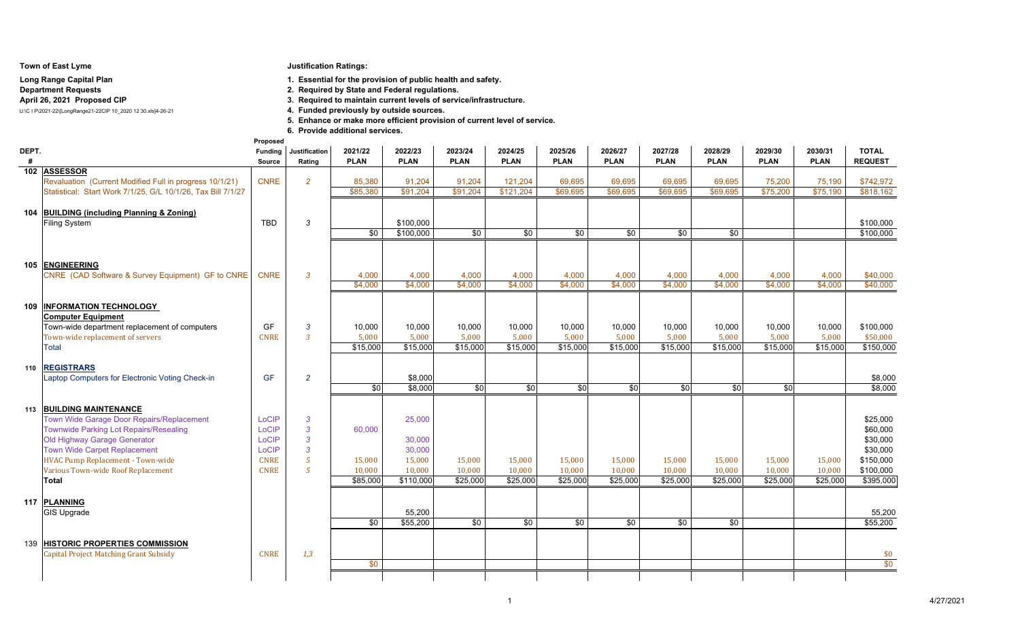#### **Town of East Lyme**

## **Long Range Capital Plan**

### **Department Requests**

## **April 26, 2021 Proposed CIP**

U:\C I P\2021-22\[LongRange21-22CIP 10\_2020 12 30.xls]4-26-21

**Justification Ratings:**

**1. Essential for the provision of public health and safety.**

**2. Required by State and Federal regulations.**

**3. Required to maintain current levels of service/infrastructure.**

4. Funded previously by outside sources.

**5. Enhance or make more efficient provision of current level of service.**

**6. Provide additional services.Proposed**

| DEPT. |                                                                               | <b>Funding</b> | Justification  | 2021/22         | 2022/23                | 2023/24         | 2024/25         | 2025/26         | 2026/27     | 2027/28         | 2028/29         | 2029/30     | 2030/31     | <b>TOTAL</b>           |
|-------|-------------------------------------------------------------------------------|----------------|----------------|-----------------|------------------------|-----------------|-----------------|-----------------|-------------|-----------------|-----------------|-------------|-------------|------------------------|
| #     |                                                                               | Source         | Rating         | <b>PLAN</b>     | <b>PLAN</b>            | <b>PLAN</b>     | <b>PLAN</b>     | <b>PLAN</b>     | <b>PLAN</b> | <b>PLAN</b>     | <b>PLAN</b>     | <b>PLAN</b> | <b>PLAN</b> | <b>REQUEST</b>         |
|       | 102 ASSESSOR                                                                  |                |                |                 |                        |                 |                 |                 |             |                 |                 |             |             |                        |
|       | Revaluation (Current Modified Full in progress 10/1/21)                       | <b>CNRE</b>    | $\overline{2}$ | 85,380          | 91.204                 | 91.204          | 121,204         | 69.695          | 69.695      | 69.695          | 69.695          | 75,200      | 75,190      | \$742,972              |
|       | Statistical: Start Work 7/1/25, G/L 10/1/26, Tax Bill 7/1/27                  |                |                | \$85,380        | \$91,204               | \$91,204        | \$121,204       | \$69,695        | \$69,695    | \$69,695        | \$69,695        | \$75,200    | \$75,190    | \$818.162              |
|       |                                                                               |                |                |                 |                        |                 |                 |                 |             |                 |                 |             |             |                        |
|       | 104 BUILDING (including Planning & Zoning)                                    | <b>TBD</b>     |                |                 |                        |                 |                 |                 |             |                 |                 |             |             |                        |
|       | Filing System                                                                 |                | 3              | \$0             | \$100,000<br>\$100,000 | $\overline{30}$ | $\overline{30}$ | \$0             | \$0         | $\overline{30}$ | \$0             |             |             | \$100,000<br>\$100,000 |
|       |                                                                               |                |                |                 |                        |                 |                 |                 |             |                 |                 |             |             |                        |
|       |                                                                               |                |                |                 |                        |                 |                 |                 |             |                 |                 |             |             |                        |
|       | 105 ENGINEERING                                                               |                |                |                 |                        |                 |                 |                 |             |                 |                 |             |             |                        |
|       | CNRE (CAD Software & Survey Equipment) GF to CNRE                             | <b>CNRE</b>    | 3              | 4,000           | 4,000                  | 4,000           | 4,000           | 4,000           | 4,000       | 4,000           | 4,000           | 4,000       | 4,000       | \$40,000               |
|       |                                                                               |                |                | \$4,000         | \$4,000                | \$4,000         | \$4,000         | \$4,000         | \$4,000     | \$4,000         | \$4,000         | \$4,000     | \$4,000     | \$40,000               |
|       |                                                                               |                |                |                 |                        |                 |                 |                 |             |                 |                 |             |             |                        |
|       | 109 INFORMATION TECHNOLOGY                                                    |                |                |                 |                        |                 |                 |                 |             |                 |                 |             |             |                        |
|       | <b>Computer Equipment</b>                                                     |                |                |                 |                        |                 |                 |                 |             |                 |                 |             |             |                        |
|       | Town-wide department replacement of computers                                 | GF             | 3              | 10,000          | 10,000                 | 10,000          | 10,000          | 10.000          | 10,000      | 10,000          | 10,000          | 10,000      | 10,000      | \$100,000              |
|       | Town-wide replacement of servers                                              | <b>CNRE</b>    | 3              | 5,000           | 5,000                  | 5,000           | 5,000           | 5,000           | 5,000       | 5.000           | 5.000           | 5,000       | 5,000       | \$50,000               |
|       | Total                                                                         |                |                | \$15,000        | \$15,000               | \$15,000        | \$15,000        | \$15,000        | \$15,000    | \$15,000        | \$15,000        | \$15,000    | \$15,000    | \$150,000              |
|       |                                                                               |                |                |                 |                        |                 |                 |                 |             |                 |                 |             |             |                        |
|       | 110 REGISTRARS                                                                |                |                |                 |                        |                 |                 |                 |             |                 |                 |             |             |                        |
|       | Laptop Computers for Electronic Voting Check-in                               | <b>GF</b>      | $\overline{2}$ |                 | \$8,000                |                 |                 |                 |             |                 |                 |             |             | \$8,000                |
|       |                                                                               |                |                | \$0             | \$8,000                | $\frac{1}{6}$   | $\overline{30}$ | $\overline{30}$ | \$0         | $\overline{30}$ | $\overline{30}$ | \$0         |             | \$8,000                |
|       |                                                                               |                |                |                 |                        |                 |                 |                 |             |                 |                 |             |             |                        |
|       | 113 BUILDING MAINTENANCE                                                      |                |                |                 |                        |                 |                 |                 |             |                 |                 |             |             |                        |
|       | Town Wide Garage Door Repairs/Replacement                                     | LoCIP<br>LoCIP | 3<br>3         | 60,000          | 25,000                 |                 |                 |                 |             |                 |                 |             |             | \$25,000<br>\$60,000   |
|       | <b>Townwide Parking Lot Repairs/Resealing</b><br>Old Highway Garage Generator | LoCIP          | 3              |                 | 30,000                 |                 |                 |                 |             |                 |                 |             |             | \$30,000               |
|       | <b>Town Wide Carpet Replacement</b>                                           | LoCIP          | 3              |                 | 30,000                 |                 |                 |                 |             |                 |                 |             |             | \$30,000               |
|       | <b>HVAC Pump Replacement - Town-wide</b>                                      | <b>CNRE</b>    | $5^{\circ}$    | 15,000          | 15,000                 | 15,000          | 15,000          | 15,000          | 15,000      | 15,000          | 15,000          | 15,000      | 15,000      | \$150,000              |
|       | Various Town-wide Roof Replacement                                            | <b>CNRE</b>    | 5              | 10,000          | 10,000                 | 10,000          | 10,000          | 10,000          | 10,000      | 10,000          | 10,000          | 10,000      | 10,000      | \$100,000              |
|       | Total                                                                         |                |                | \$85,000        | \$110,000              | \$25,000        | \$25,000        | \$25,000        | \$25,000    | \$25,000        | \$25,000        | \$25,000    | \$25,000    | \$395,000              |
|       |                                                                               |                |                |                 |                        |                 |                 |                 |             |                 |                 |             |             |                        |
|       | 117 PLANNING                                                                  |                |                |                 |                        |                 |                 |                 |             |                 |                 |             |             |                        |
|       | <b>GIS Upgrade</b>                                                            |                |                |                 | 55,200                 |                 |                 |                 |             |                 |                 |             |             | 55,200                 |
|       |                                                                               |                |                | $\overline{30}$ | \$55,200               | \$0             | \$0             | $\overline{30}$ | \$0         | \$0             | $\overline{30}$ |             |             | \$55,200               |
|       |                                                                               |                |                |                 |                        |                 |                 |                 |             |                 |                 |             |             |                        |
|       | 139 HISTORIC PROPERTIES COMMISSION                                            |                |                |                 |                        |                 |                 |                 |             |                 |                 |             |             |                        |
|       | <b>Capital Project Matching Grant Subsidy</b>                                 | <b>CNRE</b>    | 1,3            |                 |                        |                 |                 |                 |             |                 |                 |             |             | \$0                    |
|       |                                                                               |                |                | \$0             |                        |                 |                 |                 |             |                 |                 |             |             | \$0                    |
|       |                                                                               |                |                |                 |                        |                 |                 |                 |             |                 |                 |             |             |                        |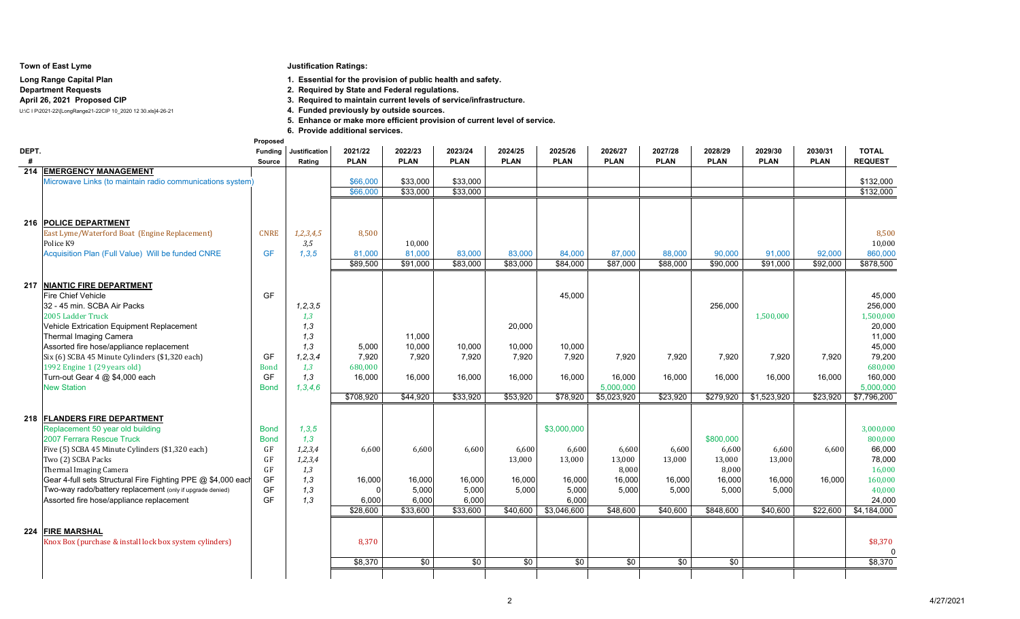#### **Town of East Lyme**

# **Long Range Capital Plan**

## **Department Requests**

## **April 26, 2021 Proposed CIP**

U:\C I P\2021-22\[LongRange21-22CIP 10\_2020 12 30.xls]4-26-21

## **Justification Ratings:**

**1. Essential for the provision of public health and safety.**

- **2. Required by State and Federal regulations.**
- **3. Required to maintain current levels of service/infrastructure.**
- 4. Funded previously by outside sources.

**5. Enhance or make more efficient provision of current level of service.**

**6. Provide additional services.**

|       |                                                                        | Proposed                   |                       |             |             |                 |             |             |             |                 |             |             |             |                      |
|-------|------------------------------------------------------------------------|----------------------------|-----------------------|-------------|-------------|-----------------|-------------|-------------|-------------|-----------------|-------------|-------------|-------------|----------------------|
| DEPT. |                                                                        |                            | Funding Justification | 2021/22     | 2022/23     | 2023/24         | 2024/25     | 2025/26     | 2026/27     | 2027/28         | 2028/29     | 2029/30     | 2030/31     | <b>TOTAL</b>         |
| #     |                                                                        | Source                     | Rating                | <b>PLAN</b> | <b>PLAN</b> | <b>PLAN</b>     | <b>PLAN</b> | <b>PLAN</b> | <b>PLAN</b> | <b>PLAN</b>     | <b>PLAN</b> | <b>PLAN</b> | <b>PLAN</b> | <b>REQUEST</b>       |
|       | <b>214 EMERGENCY MANAGEMENT</b>                                        |                            |                       |             |             |                 |             |             |             |                 |             |             |             |                      |
|       | Microwave Links (to maintain radio communications system)              |                            |                       | \$66,000    | \$33,000    | \$33,000        |             |             |             |                 |             |             |             | \$132,000            |
|       |                                                                        |                            |                       | \$66,000    | \$33,000    | \$33,000        |             |             |             |                 |             |             |             | \$132,000            |
|       |                                                                        |                            |                       |             |             |                 |             |             |             |                 |             |             |             |                      |
|       |                                                                        |                            |                       |             |             |                 |             |             |             |                 |             |             |             |                      |
|       | 216 POLICE DEPARTMENT                                                  |                            |                       |             |             |                 |             |             |             |                 |             |             |             |                      |
|       | East Lyme/Waterford Boat (Engine Replacement)                          | <b>CNRE</b>                | 1, 2, 3, 4, 5         | 8,500       |             |                 |             |             |             |                 |             |             |             | 8,500                |
|       | Police K9                                                              |                            | 3,5                   |             | 10,000      |                 |             |             |             |                 |             |             |             | 10,000               |
|       | Acquisition Plan (Full Value) Will be funded CNRE                      | <b>GF</b>                  | 1,3,5                 | 81,000      | 81.000      | 83,000          | 83,000      | 84,000      | 87,000      | 88,000          | 90.000      | 91,000      | 92,000      | 860,000              |
|       |                                                                        |                            |                       | \$89,500    | \$91.000    | \$83,000        | \$83,000    | \$84,000    | \$87,000    | \$88,000        | \$90,000    | \$91.000    | \$92,000    | \$878,500            |
|       |                                                                        |                            |                       |             |             |                 |             |             |             |                 |             |             |             |                      |
| 217   | <b>NIANTIC FIRE DEPARTMENT</b>                                         |                            |                       |             |             |                 |             |             |             |                 |             |             |             |                      |
|       | <b>Fire Chief Vehicle</b>                                              | GF                         |                       |             |             |                 |             | 45.000      |             |                 |             |             |             | 45,000               |
|       | 32 - 45 min. SCBA Air Packs                                            |                            | 1, 2, 3, 5            |             |             |                 |             |             |             |                 | 256.000     |             |             | 256,000              |
|       | 2005 Ladder Truck                                                      |                            | 1,3                   |             |             |                 |             |             |             |                 |             | 1,500,000   |             | 1,500,000            |
|       | Vehicle Extrication Equipment Replacement                              |                            | 1,3                   |             |             |                 | 20,000      |             |             |                 |             |             |             | 20,000               |
|       | Thermal Imaging Camera                                                 |                            | 1,3                   |             | 11,000      |                 |             |             |             |                 |             |             |             | 11,000               |
|       | Assorted fire hose/appliance replacement                               |                            | 1,3                   | 5,000       | 10,000      | 10,000          | 10,000      | 10,000      |             |                 |             |             |             | 45,000               |
|       | Six (6) SCBA 45 Minute Cylinders (\$1,320 each)                        | GF                         | 1, 2, 3, 4            | 7,920       | 7,920       | 7,920           | 7,920       | 7.920       | 7,920       | 7.920           | 7,920       | 7.920       | 7.920       | 79,200               |
|       | 1992 Engine 1 (29 years old)                                           | <b>Bond</b>                | 1,3                   | 680,000     |             |                 |             |             |             |                 |             |             |             | 680,000              |
|       | Turn-out Gear 4 @ \$4,000 each                                         | GF                         | 1,3                   | 16.000      | 16.000      | 16,000          | 16.000      | 16.000      | 16.000      | 16.000          | 16.000      | 16,000      | 16.000      | 160,000              |
|       | <b>New Station</b>                                                     | <b>Bond</b>                | 1, 3, 4, 6            |             |             |                 |             |             | 5,000,000   |                 |             |             |             | 5,000,000            |
|       |                                                                        |                            |                       | \$708,920   | \$44,920    | \$33,920        | \$53,920    | \$78,920    | \$5,023,920 | \$23,920        | \$279,920   | \$1,523,920 | \$23,920    | \$7,796,200          |
|       |                                                                        |                            |                       |             |             |                 |             |             |             |                 |             |             |             |                      |
|       | 218 FLANDERS FIRE DEPARTMENT<br>Replacement 50 year old building       |                            |                       |             |             |                 |             | \$3,000,000 |             |                 |             |             |             |                      |
|       | 2007 Ferrara Rescue Truck                                              | <b>Bond</b><br><b>Bond</b> | 1,3,5<br>1,3          |             |             |                 |             |             |             |                 | \$800,000   |             |             | 3,000,000<br>800,000 |
|       |                                                                        | GF                         | 1,2,3,4               | 6.600       | 6,600       | 6,600           | 6,600       | 6,600       | 6,600       | 6.600           | 6,600       | 6,600       | 6.600       | 66,000               |
|       | Five (5) SCBA 45 Minute Cylinders (\$1,320 each)<br>Two (2) SCBA Packs | GF                         |                       |             |             |                 |             | 13,000      | 13,000      | 13,000          | 13,000      | 13,000      |             | 78,000               |
|       | Thermal Imaging Camera                                                 | GF                         | 1,2,3,4<br>1,3        |             |             |                 | 13,000      |             | 8,000       |                 | 8,000       |             |             | 16,000               |
|       | Gear 4-full sets Structural Fire Fighting PPE @ \$4,000 each           | <b>GF</b>                  | 1,3                   | 16,000      | 16,000      | 16,000          | 16,000      | 16,000      | 16,000      | 16,000          | 16,000      | 16,000      | 16.000      | 160,000              |
|       | Two-way rado/battery replacement (only if upgrade denied)              | GF                         | 1,3                   |             | 5,000       | 5,000           | 5,000       | 5,000       | 5,000       | 5.000           | 5,000       | 5.000       |             | 40,000               |
|       | Assorted fire hose/appliance replacement                               | <b>GF</b>                  | 1,3                   | 6,000       | 6,000       | 6,000           |             | 6,000       |             |                 |             |             |             | 24,000               |
|       |                                                                        |                            |                       | \$28,600    | \$33,600    | \$33,600        | \$40,600    | \$3,046,600 | \$48,600    | \$40,600        | \$848,600   | \$40,600    | \$22,600    | \$4,184,000          |
|       |                                                                        |                            |                       |             |             |                 |             |             |             |                 |             |             |             |                      |
|       | 224 FIRE MARSHAL                                                       |                            |                       |             |             |                 |             |             |             |                 |             |             |             |                      |
|       | Knox Box (purchase & install lock box system cylinders)                |                            |                       | 8.370       |             |                 |             |             |             |                 |             |             |             | \$8,370              |
|       |                                                                        |                            |                       |             |             |                 |             |             |             |                 |             |             |             |                      |
|       |                                                                        |                            |                       | \$8.370     | \$0         | $\overline{30}$ | \$0         | \$0         | \$0         | $\overline{30}$ | \$0         |             |             | \$8,370              |
|       |                                                                        |                            |                       |             |             |                 |             |             |             |                 |             |             |             |                      |
|       |                                                                        |                            |                       |             |             |                 |             |             |             |                 |             |             |             |                      |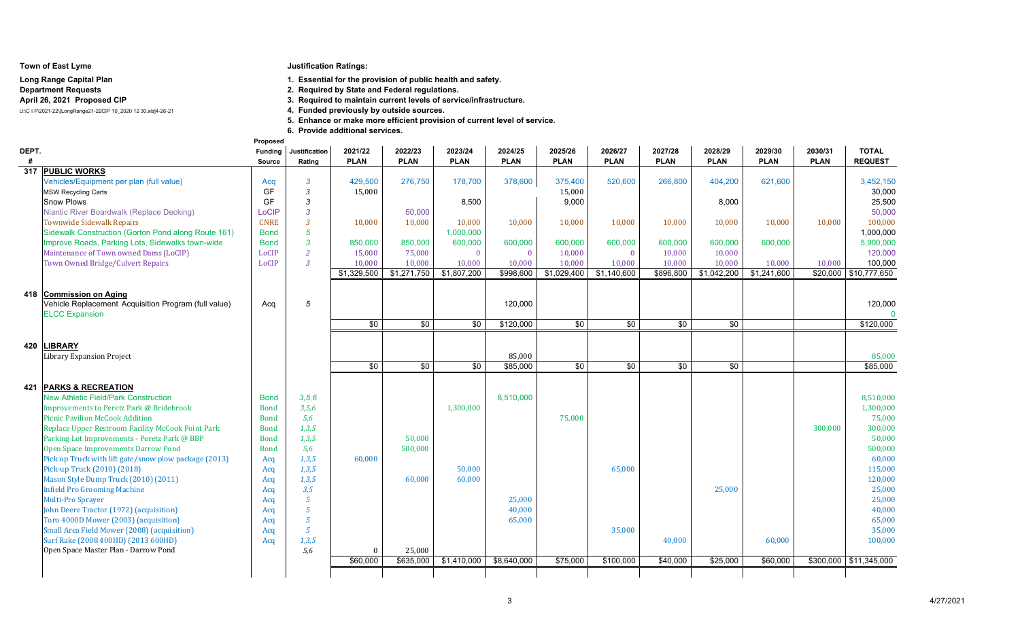#### **Town of East Lyme**

#### **Long Range Capital PlanDepartment RequestsApril 26, 2021 Proposed CIP**

U:\C I P\2021-22\[LongRange21-22CIP 10\_2020 12 30.xls]4-26-21

## **Justification Ratings:**

**1. Essential for the provision of public health and safety.**

**2. Required by State and Federal regulations.**

**3. Required to maintain current levels of service/infrastructure.**

4. Funded previously by outside sources.

**5. Enhance or make more efficient provision of current level of service.**

**6. Provide additional services.**

|       |                                                       | Proposed       |                      |                 |                 |             |             |                 |                 |                 |             |             |             |                        |
|-------|-------------------------------------------------------|----------------|----------------------|-----------------|-----------------|-------------|-------------|-----------------|-----------------|-----------------|-------------|-------------|-------------|------------------------|
| DEPT. |                                                       | <b>Funding</b> | <b>Justification</b> | 2021/22         | 2022/23         | 2023/24     | 2024/25     | 2025/26         | 2026/27         | 2027/28         | 2028/29     | 2029/30     | 2030/31     | <b>TOTAL</b>           |
| #     |                                                       | <b>Source</b>  | Rating               | <b>PLAN</b>     | <b>PLAN</b>     | <b>PLAN</b> | <b>PLAN</b> | <b>PLAN</b>     | <b>PLAN</b>     | <b>PLAN</b>     | <b>PLAN</b> | <b>PLAN</b> | <b>PLAN</b> | <b>REQUEST</b>         |
|       | 317 PUBLIC WORKS                                      |                |                      |                 |                 |             |             |                 |                 |                 |             |             |             |                        |
|       | Vehicles/Equipment per plan (full value)              | Acq            | $\mathbf{3}$         | 429,500         | 276,750         | 178,700     | 378,600     | 375.400         | 520,600         | 266,800         | 404,200     | 621,600     |             | 3,452,150              |
|       | <b>MSW Recycling Carts</b>                            | GF             | 3                    | 15,000          |                 |             |             | 15,000          |                 |                 |             |             |             | 30,000                 |
|       | <b>Snow Plows</b>                                     | GF             | 3                    |                 |                 | 8,500       |             | 9,000           |                 |                 | 8,000       |             |             | 25,500                 |
|       | Niantic River Boardwalk (Replace Decking)             | LoCIP          | $\mathbf{3}$         |                 | 50,000          |             |             |                 |                 |                 |             |             |             | 50,000                 |
|       | <b>Townwide Sidewalk Repairs</b>                      | <b>CNRE</b>    | $\overline{3}$       | 10,000          | 10.000          | 10.000      | 10,000      | 10,000          | 10,000          | 10,000          | 10,000      | 10,000      | 10.000      | 100,000                |
|       | Sidewalk Construction (Gorton Pond along Route 161)   | <b>Bond</b>    | $5\overline{5}$      |                 |                 | 1,000,000   |             |                 |                 |                 |             |             |             | 1,000,000              |
|       | Improve Roads, Parking Lots, Sidewalks town-wide      | <b>Bond</b>    | $\overline{3}$       | 850,000         | 850,000         | 600,000     | 600,000     | 600,000         | 600,000         | 600,000         | 600,000     | 600,000     |             | 5,900,000              |
|       | Maintenance of Town owned Dams (LoCIP)                | LoCIP          | <sup>2</sup>         | 15,000          | 75,000          | $\Omega$    | $\Omega$    | 10,000          | $\Omega$        | 10.000          | 10,000      |             |             | 120,000                |
|       | Town Owned Bridge/Culvert Repairs                     | LoCIP          | $\overline{3}$       | 10,000          | 10,000          | 10,000      | 10,000      | 10,000          | 10,000          | 10,000          | 10,000      | 10,000      | 10,000      | 100,000                |
|       |                                                       |                |                      | \$1,329,500     | \$1,271,750     | \$1,807,200 | \$998,600   | \$1,029,400     | \$1,140,600     | \$896,800       | \$1,042,200 | \$1,241,600 |             | \$20,000 \$10,777,650  |
|       |                                                       |                |                      |                 |                 |             |             |                 |                 |                 |             |             |             |                        |
| 418   | <b>Commission on Aging</b>                            |                |                      |                 |                 |             |             |                 |                 |                 |             |             |             |                        |
|       | Vehicle Replacement Acquisition Program (full value)  | Acq            | 5                    |                 |                 |             | 120,000     |                 |                 |                 |             |             |             | 120,000                |
|       | <b>ELCC Expansion</b>                                 |                |                      |                 |                 |             |             |                 |                 |                 |             |             |             | $\Omega$               |
|       |                                                       |                |                      | $\overline{50}$ | $\overline{50}$ | \$0         | \$120,000   | $\overline{50}$ | $\overline{50}$ | $\overline{30}$ | \$0         |             |             | \$120,000              |
|       |                                                       |                |                      |                 |                 |             |             |                 |                 |                 |             |             |             |                        |
| 420   | <b>IBRARY</b>                                         |                |                      |                 |                 |             |             |                 |                 |                 |             |             |             |                        |
|       | Library Expansion Project                             |                |                      |                 |                 |             | 85,000      |                 |                 |                 |             |             |             | 85,000                 |
|       |                                                       |                |                      | \$0             | \$0             | $\sqrt{6}$  | \$85,000    | \$0             | \$0             | \$0             | \$0         |             |             | \$85,000               |
|       |                                                       |                |                      |                 |                 |             |             |                 |                 |                 |             |             |             |                        |
| 421   | <b>PARKS &amp; RECREATION</b>                         |                |                      |                 |                 |             |             |                 |                 |                 |             |             |             |                        |
|       | <b>New Athletic Field/Park Construction</b>           | <b>Bond</b>    | 3, 5, 6              |                 |                 |             | 8,510,000   |                 |                 |                 |             |             |             | 8,510,000              |
|       |                                                       |                |                      |                 |                 | 1,300,000   |             |                 |                 |                 |             |             |             |                        |
|       | Improvements to Peretz Park @ Bridebrook              | <b>Bond</b>    | 3,5,6                |                 |                 |             |             |                 |                 |                 |             |             |             | 1,300,000              |
|       | <b>Picnic Pavilion McCook Addition</b>                | <b>Bond</b>    | 5,6                  |                 |                 |             |             | 75,000          |                 |                 |             |             |             | 75,000                 |
|       | Replace Upper Restroom Facility McCook Point Park     | <b>Bond</b>    | 1,3,5                |                 |                 |             |             |                 |                 |                 |             |             | 300,000     | 300,000                |
|       | Parking Lot Improvements - Peretz Park @ BBP          | <b>Bond</b>    | 1,3,5                |                 | 50,000          |             |             |                 |                 |                 |             |             |             | 50,000                 |
|       | Open Space Improvements Darrow Pond                   | <b>Bond</b>    | 5,6                  |                 | 500,000         |             |             |                 |                 |                 |             |             |             | 500,000                |
|       | Pick up Truck with lift gate/snow plow package (2013) | Acq            | 1,3,5                | 60.000          |                 |             |             |                 |                 |                 |             |             |             | 60,000                 |
|       | Pick-up Truck (2010) (2018)                           | Acq            | 1,3,5                |                 |                 | 50,000      |             |                 | 65,000          |                 |             |             |             | 115,000                |
|       | Mason Style Dump Truck (2010) (2011)                  | Acq            | 1,3,5                |                 | 60,000          | 60,000      |             |                 |                 |                 |             |             |             | 120,000                |
|       | <b>Infield Pro Grooming Machine</b>                   | Acq            | 3,5                  |                 |                 |             |             |                 |                 |                 | 25,000      |             |             | 25,000                 |
|       | Multi-Pro Sprayer                                     | Acq            | $\sqrt{5}$           |                 |                 |             | 25,000      |                 |                 |                 |             |             |             | 25,000                 |
|       | John Deere Tractor (1972) (acquisition)               | Acq            | $\overline{5}$       |                 |                 |             | 40,000      |                 |                 |                 |             |             |             | 40,000                 |
|       | Toro 4000D Mower (2003) (acquisition)                 | Acq            | $\sqrt{5}$           |                 |                 |             | 65,000      |                 |                 |                 |             |             |             | 65,000                 |
|       | Small Area Field Mower (2008) (acquisition)           | Acq            | $\sqrt{5}$           |                 |                 |             |             |                 | 35,000          |                 |             |             |             | 35,000                 |
|       | Surf Rake (2008 400HD) (2013 600HD)                   | Acq            | 1,3,5                |                 |                 |             |             |                 |                 | 40,000          |             | 60,000      |             | 100,000                |
|       | Open Space Master Plan - Darrow Pond                  |                | 5,6                  | $\mathbf{0}$    | 25,000          |             |             |                 |                 |                 |             |             |             |                        |
|       |                                                       |                |                      | \$60,000        | \$635,000       | \$1,410,000 | \$8,640,000 | \$75,000        | \$100,000       | \$40,000        | \$25,000    | \$60,000    |             | \$300,000 \$11,345,000 |
|       |                                                       |                |                      |                 |                 |             |             |                 |                 |                 |             |             |             |                        |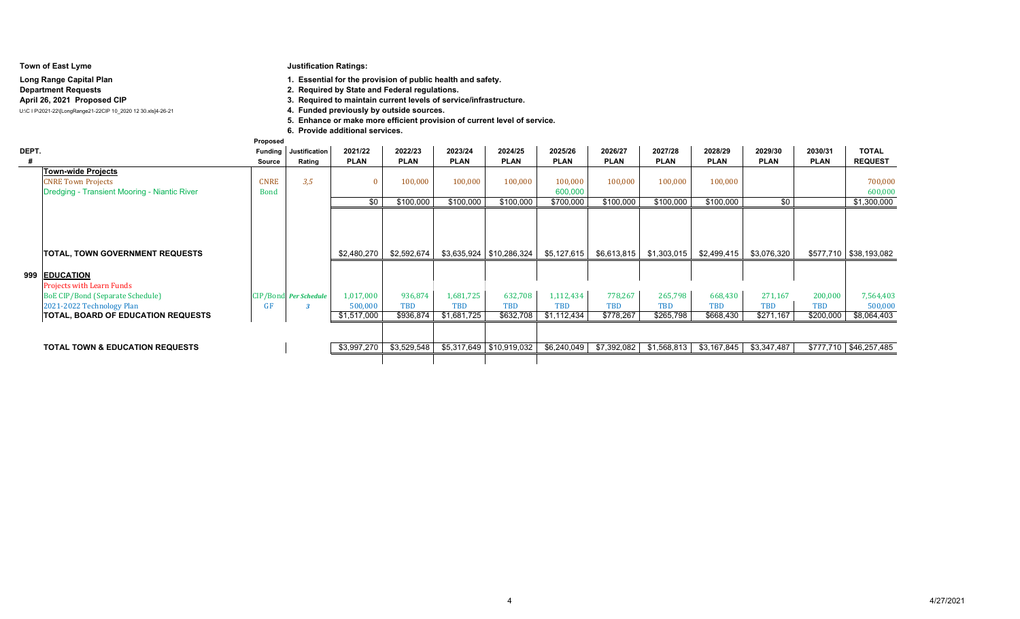|       | Town of East Lyme<br>Long Range Capital Plan<br><b>Department Requests</b><br>April 26, 2021 Proposed CIP<br>U:\C I P\2021-22\[LongRange21-22CIP 10 2020 12 30.xls]4-26-21 | Proposed                   | <b>Justification Ratings:</b> | 6. Provide additional services. | 1. Essential for the provision of public health and safety.<br>2. Required by State and Federal regulations.<br>3. Required to maintain current levels of service/infrastructure.<br>4. Funded previously by outside sources.<br>5. Enhance or make more efficient provision of current level of service. |             |                            |                    |             |             |             |             |             |                        |
|-------|----------------------------------------------------------------------------------------------------------------------------------------------------------------------------|----------------------------|-------------------------------|---------------------------------|-----------------------------------------------------------------------------------------------------------------------------------------------------------------------------------------------------------------------------------------------------------------------------------------------------------|-------------|----------------------------|--------------------|-------------|-------------|-------------|-------------|-------------|------------------------|
| DEPT. |                                                                                                                                                                            | <b>Funding</b>             | Justification                 | 2021/22                         | 2022/23                                                                                                                                                                                                                                                                                                   | 2023/24     | 2024/25                    | 2025/26            | 2026/27     | 2027/28     | 2028/29     | 2029/30     | 2030/31     | <b>TOTAL</b>           |
|       |                                                                                                                                                                            | Source                     | Rating                        | <b>PLAN</b>                     | <b>PLAN</b>                                                                                                                                                                                                                                                                                               | <b>PLAN</b> | <b>PLAN</b>                | <b>PLAN</b>        | <b>PLAN</b> | <b>PLAN</b> | <b>PLAN</b> | <b>PLAN</b> | <b>PLAN</b> | <b>REQUEST</b>         |
|       | <b>Town-wide Projects</b><br><b>CNRE Town Projects</b><br>Dredging - Transient Mooring - Niantic River                                                                     | <b>CNRE</b><br><b>Bond</b> | 3.5                           | -0                              | 100,000                                                                                                                                                                                                                                                                                                   | 100,000     | 100,000                    | 100,000<br>600,000 | 100,000     | 100,000     | 100,000     |             |             | 700.000<br>600,000     |
|       |                                                                                                                                                                            |                            |                               | \$0                             | \$100,000                                                                                                                                                                                                                                                                                                 | \$100.000   | \$100,000                  | \$700,000          | \$100,000   | \$100,000   | \$100,000   | \$0         |             | \$1,300,000            |
|       | TOTAL, TOWN GOVERNMENT REQUESTS                                                                                                                                            |                            |                               | \$2.480.270                     | \$2,592,674                                                                                                                                                                                                                                                                                               |             | \$3,635,924   \$10,286,324 | \$5,127,615        | \$6,613,815 | \$1,303,015 | \$2,499,415 | \$3,076,320 |             | \$577,710 \$38,193,082 |
|       | 999 EDUCATION<br><b>Projects with Learn Funds</b>                                                                                                                          |                            |                               |                                 |                                                                                                                                                                                                                                                                                                           |             |                            |                    |             |             |             |             |             |                        |
|       | <b>BoE CIP/Bond (Separate Schedule)</b>                                                                                                                                    |                            | CIP/Bond Per Schedule         | 1,017,000                       | 936,874                                                                                                                                                                                                                                                                                                   | 1,681,725   | 632,708                    | 1,112,434          | 778,267     | 265,798     | 668,430     | 271,167     | 200,000     | 7,564,403              |
|       | 2021-2022 Technology Plan                                                                                                                                                  | GF                         |                               | 500,000                         | <b>TBD</b>                                                                                                                                                                                                                                                                                                | <b>TBD</b>  | <b>TBD</b>                 | <b>TBD</b>         | <b>TBD</b>  | <b>TBD</b>  | <b>TBD</b>  | <b>TBD</b>  | <b>TBD</b>  | 500,000                |
|       | <b>TOTAL, BOARD OF EDUCATION REQUESTS</b>                                                                                                                                  |                            |                               | \$1,517,000                     | \$936,874                                                                                                                                                                                                                                                                                                 | \$1,681,725 | \$632,708                  | \$1,112,434        | \$778,267   | \$265,798   | \$668,430   | \$271,167   | \$200,000   | \$8,064,403            |
|       | <b>TOTAL TOWN &amp; EDUCATION REQUESTS</b>                                                                                                                                 |                            |                               | \$3,997,270                     | \$3,529,548                                                                                                                                                                                                                                                                                               |             | \$5,317,649   \$10,919,032 | \$6,240,049        | \$7,392,082 | \$1,568,813 | \$3,167,845 | \$3,347,487 |             | \$777,710 \$46,257,485 |
|       |                                                                                                                                                                            |                            |                               |                                 |                                                                                                                                                                                                                                                                                                           |             |                            |                    |             |             |             |             |             |                        |